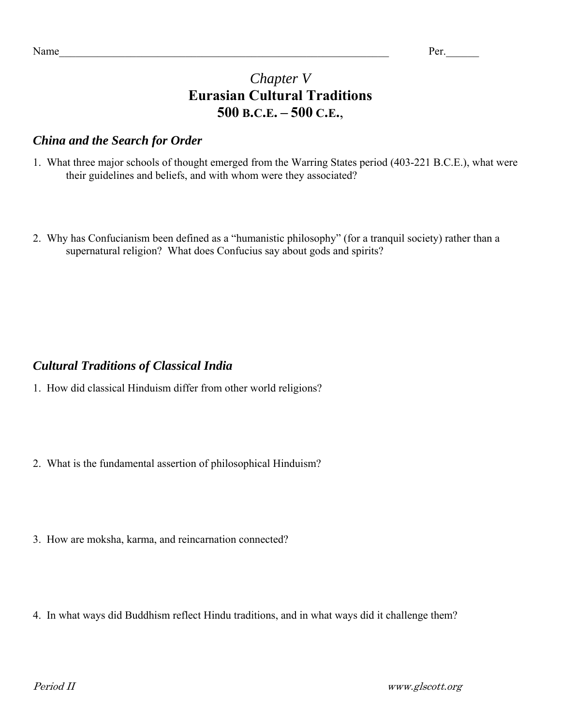## *Chapter V*  **Eurasian Cultural Traditions 500 B.C.E. – 500 C.E.**,

## *China and the Search for Order*

- 1. What three major schools of thought emerged from the Warring States period (403-221 B.C.E.), what were their guidelines and beliefs, and with whom were they associated?
- 2. Why has Confucianism been defined as a "humanistic philosophy" (for a tranquil society) rather than a supernatural religion? What does Confucius say about gods and spirits?

## *Cultural Traditions of Classical India*

- 1. How did classical Hinduism differ from other world religions?
- 2. What is the fundamental assertion of philosophical Hinduism?
- 3. How are moksha, karma, and reincarnation connected?
- 4. In what ways did Buddhism reflect Hindu traditions, and in what ways did it challenge them?